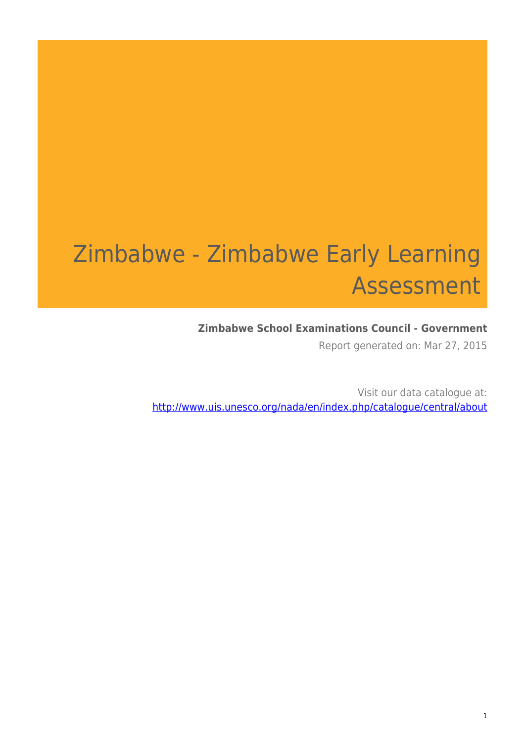# Zimbabwe - Zimbabwe Early Learning Assessment

#### **Zimbabwe School Examinations Council - Government**

Report generated on: Mar 27, 2015

Visit our data catalogue at: http://www.uis.unesco.org/nada/en/index.php/catalogue/central/about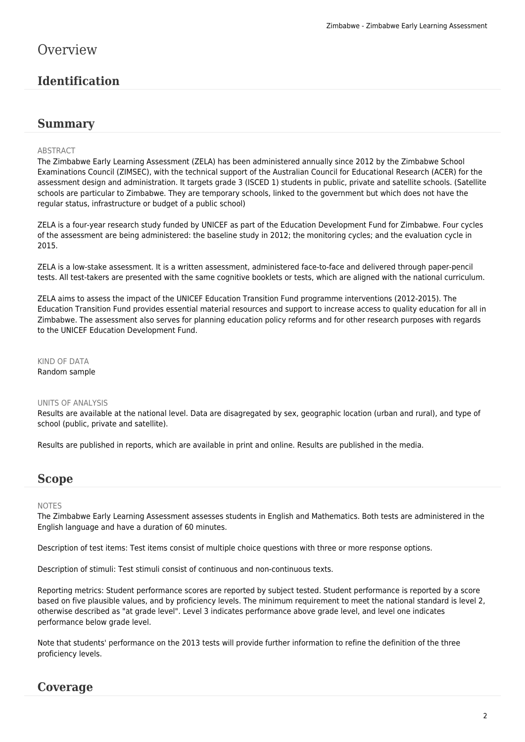# **Overview**

# **Identification**

#### **Summary**

#### ABSTRACT

The Zimbabwe Early Learning Assessment (ZELA) has been administered annually since 2012 by the Zimbabwe School Examinations Council (ZIMSEC), with the technical support of the Australian Council for Educational Research (ACER) for the assessment design and administration. It targets grade 3 (ISCED 1) students in public, private and satellite schools. (Satellite schools are particular to Zimbabwe. They are temporary schools, linked to the government but which does not have the regular status, infrastructure or budget of a public school)

ZELA is a four-year research study funded by UNICEF as part of the Education Development Fund for Zimbabwe. Four cycles of the assessment are being administered: the baseline study in 2012; the monitoring cycles; and the evaluation cycle in 2015.

ZELA is a low-stake assessment. It is a written assessment, administered face-to-face and delivered through paper-pencil tests. All test-takers are presented with the same cognitive booklets or tests, which are aligned with the national curriculum.

ZELA aims to assess the impact of the UNICEF Education Transition Fund programme interventions (2012-2015). The Education Transition Fund provides essential material resources and support to increase access to quality education for all in Zimbabwe. The assessment also serves for planning education policy reforms and for other research purposes with regards to the UNICEF Education Development Fund.

KIND OF DATA Random sample

#### UNITS OF ANALYSIS

Results are available at the national level. Data are disagregated by sex, geographic location (urban and rural), and type of school (public, private and satellite).

Results are published in reports, which are available in print and online. Results are published in the media.

### **Scope**

#### NOTES

The Zimbabwe Early Learning Assessment assesses students in English and Mathematics. Both tests are administered in the English language and have a duration of 60 minutes.

Description of test items: Test items consist of multiple choice questions with three or more response options.

Description of stimuli: Test stimuli consist of continuous and non-continuous texts.

Reporting metrics: Student performance scores are reported by subject tested. Student performance is reported by a score based on five plausible values, and by proficiency levels. The minimum requirement to meet the national standard is level 2, otherwise described as "at grade level". Level 3 indicates performance above grade level, and level one indicates performance below grade level.

Note that students' performance on the 2013 tests will provide further information to refine the definition of the three proficiency levels.

### **Coverage**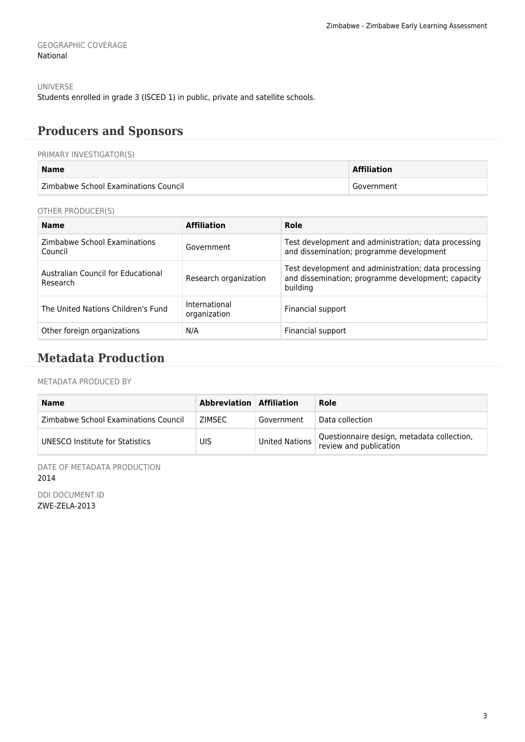GEOGRAPHIC COVERAGE National

UNIVERSE

Students enrolled in grade 3 (ISCED 1) in public, private and satellite schools.

# **Producers and Sponsors**

#### PRIMARY INVESTIGATOR(S)

| <b>Name</b>                          | <b>Affiliation</b> |
|--------------------------------------|--------------------|
| Zimbabwe School Examinations Council | Government         |

#### OTHER PRODUCER(S)

| <b>Name</b>                                    | <b>Affiliation</b>            | Role                                                                                                                   |
|------------------------------------------------|-------------------------------|------------------------------------------------------------------------------------------------------------------------|
| Zimbabwe School Examinations<br>Council        | Government                    | Test development and administration; data processing<br>and dissemination; programme development                       |
| Australian Council for Educational<br>Research | Research organization         | Test development and administration; data processing<br>and dissemination; programme development; capacity<br>building |
| The United Nations Children's Fund             | International<br>organization | Financial support                                                                                                      |
| Other foreign organizations                    | N/A                           | Financial support                                                                                                      |

# **Metadata Production**

#### METADATA PRODUCED BY

| <b>Name</b>                          | Abbreviation Affiliation |                       | Role                                                                 |
|--------------------------------------|--------------------------|-----------------------|----------------------------------------------------------------------|
| Zimbabwe School Examinations Council | <b>ZIMSEC</b>            | Government            | Data collection                                                      |
| UNESCO Institute for Statistics      | UIS                      | <b>United Nations</b> | Questionnaire design, metadata collection,<br>review and publication |

DATE OF METADATA PRODUCTION 2014

DDI DOCUMENT ID ZWE-ZELA-2013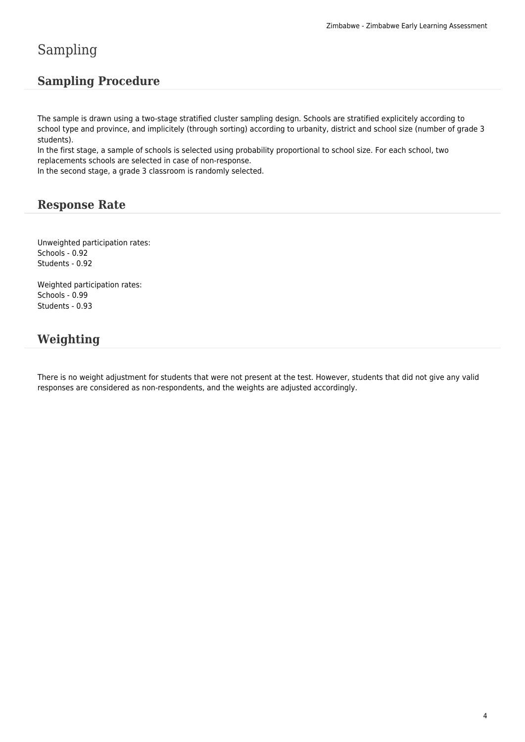# Sampling

# **Sampling Procedure**

The sample is drawn using a two-stage stratified cluster sampling design. Schools are stratified explicitely according to school type and province, and implicitely (through sorting) according to urbanity, district and school size (number of grade 3 students).

In the first stage, a sample of schools is selected using probability proportional to school size. For each school, two replacements schools are selected in case of non-response.

In the second stage, a grade 3 classroom is randomly selected.

### **Response Rate**

Unweighted participation rates: Schools - 0.92 Students - 0.92

Weighted participation rates: Schools - 0.99 Students - 0.93

# **Weighting**

There is no weight adjustment for students that were not present at the test. However, students that did not give any valid responses are considered as non-respondents, and the weights are adjusted accordingly.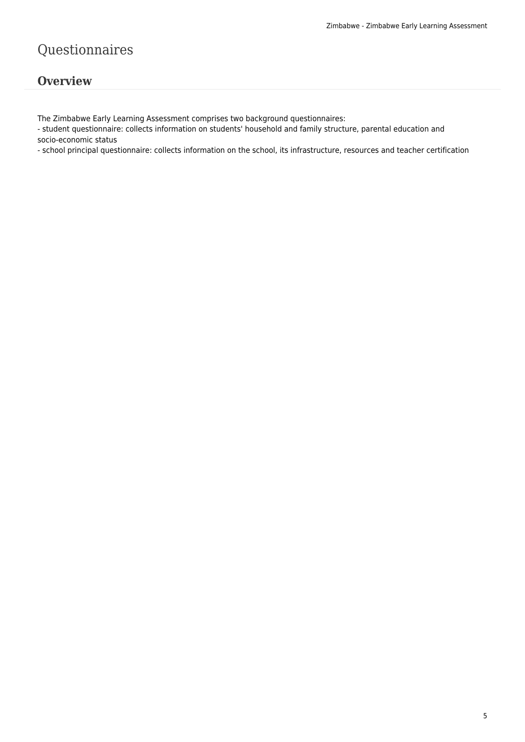# Questionnaires

## **Overview**

The Zimbabwe Early Learning Assessment comprises two background questionnaires:

- student questionnaire: collects information on students' household and family structure, parental education and socio-economic status

- school principal questionnaire: collects information on the school, its infrastructure, resources and teacher certification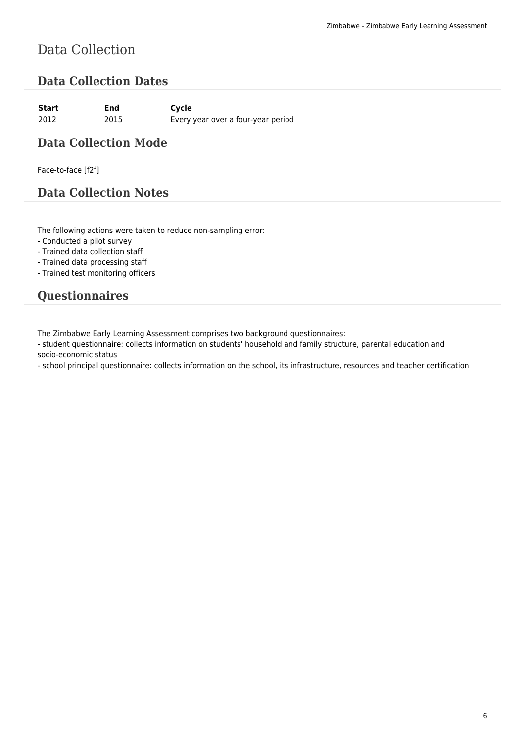# Data Collection

# **Data Collection Dates**

| Start | End  | Cycle                              |
|-------|------|------------------------------------|
| 2012  | 2015 | Every year over a four-year period |

### **Data Collection Mode**

Face-to-face [f2f]

# **Data Collection Notes**

The following actions were taken to reduce non-sampling error:

- Conducted a pilot survey

- Trained data collection staff

- Trained data processing staff

- Trained test monitoring officers

# **Questionnaires**

The Zimbabwe Early Learning Assessment comprises two background questionnaires:

- student questionnaire: collects information on students' household and family structure, parental education and socio-economic status

- school principal questionnaire: collects information on the school, its infrastructure, resources and teacher certification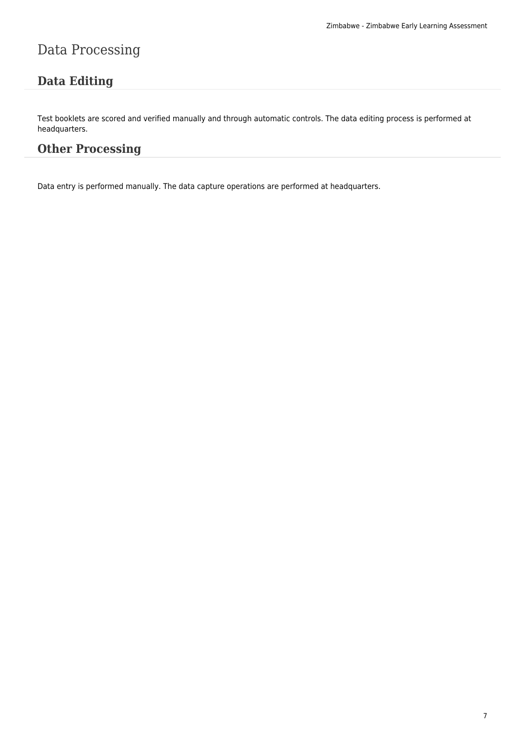# Data Processing

# **Data Editing**

Test booklets are scored and verified manually and through automatic controls. The data editing process is performed at headquarters.

# **Other Processing**

Data entry is performed manually. The data capture operations are performed at headquarters.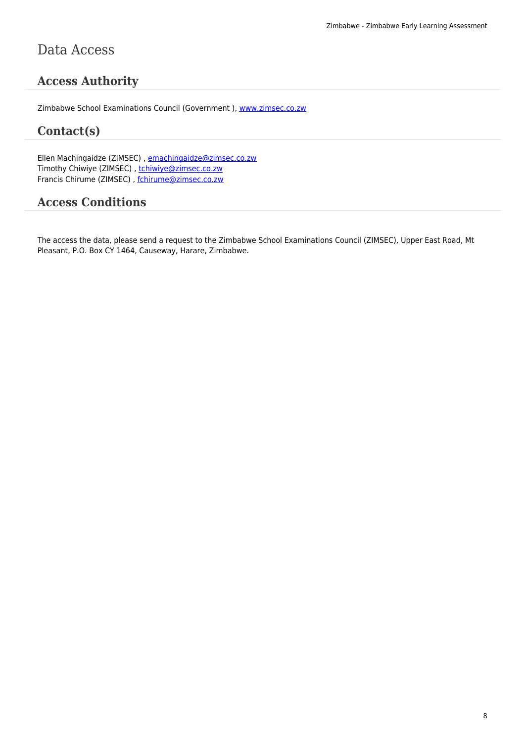# **Access Authority**

Zimbabwe School Examinations Council (Government ), www.zimsec.co.zw

#### **Contact(s)**

Ellen Machingaidze (ZIMSEC), emachingaidze@zimsec.[co.zw](http://www.zimsec.co.zw) Timothy Chiwiye (ZIMSEC), tchiwiye@zimsec.co.zw Francis Chirume (ZIMSEC) , fchirume@zimsec.co.zw

### **Access Conditio[ns](mailto:tchiwiye@zimsec.co.zw)**

The access the data, please send a request to the Zimbabwe School Examinations Council (ZIMSEC), Upper East Road, Mt Pleasant, P.O. Box CY 1464, Causeway, Harare, Zimbabwe.